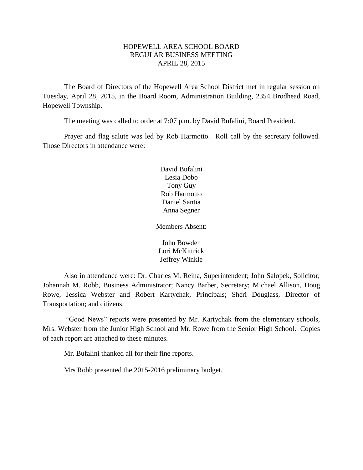# HOPEWELL AREA SCHOOL BOARD REGULAR BUSINESS MEETING APRIL 28, 2015

The Board of Directors of the Hopewell Area School District met in regular session on Tuesday, April 28, 2015, in the Board Room, Administration Building, 2354 Brodhead Road, Hopewell Township.

The meeting was called to order at 7:07 p.m. by David Bufalini, Board President.

Prayer and flag salute was led by Rob Harmotto. Roll call by the secretary followed. Those Directors in attendance were:

> David Bufalini Lesia Dobo Tony Guy Rob Harmotto Daniel Santia Anna Segner

Members Absent:

John Bowden Lori McKittrick Jeffrey Winkle

Also in attendance were: Dr. Charles M. Reina, Superintendent; John Salopek, Solicitor; Johannah M. Robb, Business Administrator; Nancy Barber, Secretary; Michael Allison, Doug Rowe, Jessica Webster and Robert Kartychak, Principals; Sheri Douglass, Director of Transportation; and citizens.

"Good News" reports were presented by Mr. Kartychak from the elementary schools, Mrs. Webster from the Junior High School and Mr. Rowe from the Senior High School. Copies of each report are attached to these minutes.

Mr. Bufalini thanked all for their fine reports.

Mrs Robb presented the 2015-2016 preliminary budget.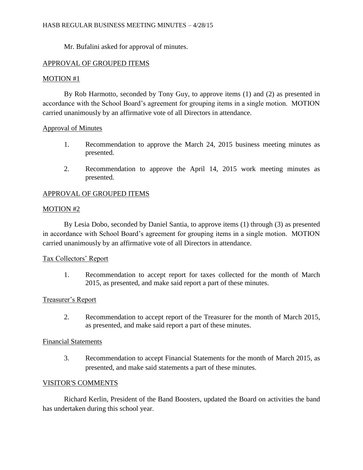Mr. Bufalini asked for approval of minutes.

# APPROVAL OF GROUPED ITEMS

# MOTION #1

By Rob Harmotto, seconded by Tony Guy, to approve items (1) and (2) as presented in accordance with the School Board's agreement for grouping items in a single motion. MOTION carried unanimously by an affirmative vote of all Directors in attendance.

# Approval of Minutes

- 1. Recommendation to approve the March 24, 2015 business meeting minutes as presented.
- 2. Recommendation to approve the April 14, 2015 work meeting minutes as presented.

# APPROVAL OF GROUPED ITEMS

# MOTION #2

By Lesia Dobo, seconded by Daniel Santia, to approve items (1) through (3) as presented in accordance with School Board's agreement for grouping items in a single motion. MOTION carried unanimously by an affirmative vote of all Directors in attendance.

# Tax Collectors' Report

1. Recommendation to accept report for taxes collected for the month of March 2015, as presented, and make said report a part of these minutes.

# Treasurer's Report

2. Recommendation to accept report of the Treasurer for the month of March 2015, as presented, and make said report a part of these minutes.

### Financial Statements

3. Recommendation to accept Financial Statements for the month of March 2015, as presented, and make said statements a part of these minutes.

# VISITOR'S COMMENTS

Richard Kerlin, President of the Band Boosters, updated the Board on activities the band has undertaken during this school year.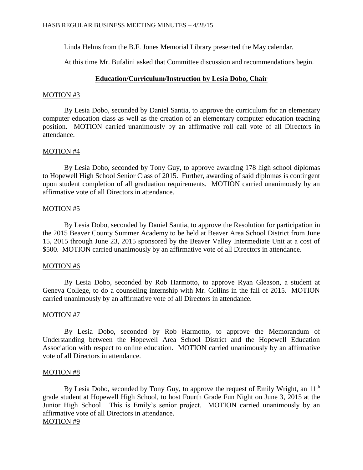Linda Helms from the B.F. Jones Memorial Library presented the May calendar.

At this time Mr. Bufalini asked that Committee discussion and recommendations begin.

# **Education/Curriculum/Instruction by Lesia Dobo, Chair**

### MOTION #3

By Lesia Dobo, seconded by Daniel Santia, to approve the curriculum for an elementary computer education class as well as the creation of an elementary computer education teaching position. MOTION carried unanimously by an affirmative roll call vote of all Directors in attendance.

# MOTION #4

By Lesia Dobo, seconded by Tony Guy, to approve awarding 178 high school diplomas to Hopewell High School Senior Class of 2015. Further, awarding of said diplomas is contingent upon student completion of all graduation requirements. MOTION carried unanimously by an affirmative vote of all Directors in attendance.

# MOTION #5

By Lesia Dobo, seconded by Daniel Santia, to approve the Resolution for participation in the 2015 Beaver County Summer Academy to be held at Beaver Area School District from June 15, 2015 through June 23, 2015 sponsored by the Beaver Valley Intermediate Unit at a cost of \$500. MOTION carried unanimously by an affirmative vote of all Directors in attendance.

# MOTION #6

By Lesia Dobo, seconded by Rob Harmotto, to approve Ryan Gleason, a student at Geneva College, to do a counseling internship with Mr. Collins in the fall of 2015. MOTION carried unanimously by an affirmative vote of all Directors in attendance.

# MOTION #7

By Lesia Dobo, seconded by Rob Harmotto, to approve the Memorandum of Understanding between the Hopewell Area School District and the Hopewell Education Association with respect to online education. MOTION carried unanimously by an affirmative vote of all Directors in attendance.

# MOTION #8

By Lesia Dobo, seconded by Tony Guy, to approve the request of Emily Wright, an  $11<sup>th</sup>$ grade student at Hopewell High School, to host Fourth Grade Fun Night on June 3, 2015 at the Junior High School. This is Emily's senior project. MOTION carried unanimously by an affirmative vote of all Directors in attendance. MOTION #9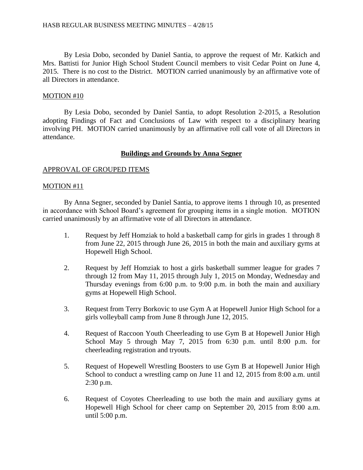By Lesia Dobo, seconded by Daniel Santia, to approve the request of Mr. Katkich and Mrs. Battisti for Junior High School Student Council members to visit Cedar Point on June 4, 2015. There is no cost to the District. MOTION carried unanimously by an affirmative vote of all Directors in attendance.

### MOTION #10

By Lesia Dobo, seconded by Daniel Santia, to adopt Resolution 2-2015, a Resolution adopting Findings of Fact and Conclusions of Law with respect to a disciplinary hearing involving PH. MOTION carried unanimously by an affirmative roll call vote of all Directors in attendance.

### **Buildings and Grounds by Anna Segner**

### APPROVAL OF GROUPED ITEMS

### MOTION #11

By Anna Segner, seconded by Daniel Santia, to approve items 1 through 10, as presented in accordance with School Board's agreement for grouping items in a single motion. MOTION carried unanimously by an affirmative vote of all Directors in attendance.

- 1. Request by Jeff Homziak to hold a basketball camp for girls in grades 1 through 8 from June 22, 2015 through June 26, 2015 in both the main and auxiliary gyms at Hopewell High School.
- 2. Request by Jeff Homziak to host a girls basketball summer league for grades 7 through 12 from May 11, 2015 through July 1, 2015 on Monday, Wednesday and Thursday evenings from 6:00 p.m. to 9:00 p.m. in both the main and auxiliary gyms at Hopewell High School.
- 3. Request from Terry Borkovic to use Gym A at Hopewell Junior High School for a girls volleyball camp from June 8 through June 12, 2015.
- 4. Request of Raccoon Youth Cheerleading to use Gym B at Hopewell Junior High School May 5 through May 7, 2015 from 6:30 p.m. until 8:00 p.m. for cheerleading registration and tryouts.
- 5. Request of Hopewell Wrestling Boosters to use Gym B at Hopewell Junior High School to conduct a wrestling camp on June 11 and 12, 2015 from 8:00 a.m. until 2:30 p.m.
- 6. Request of Coyotes Cheerleading to use both the main and auxiliary gyms at Hopewell High School for cheer camp on September 20, 2015 from 8:00 a.m. until 5:00 p.m.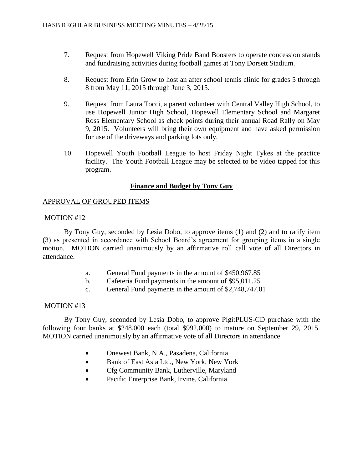- 7. Request from Hopewell Viking Pride Band Boosters to operate concession stands and fundraising activities during football games at Tony Dorsett Stadium.
- 8. Request from Erin Grow to host an after school tennis clinic for grades 5 through 8 from May 11, 2015 through June 3, 2015.
- 9. Request from Laura Tocci, a parent volunteer with Central Valley High School, to use Hopewell Junior High School, Hopewell Elementary School and Margaret Ross Elementary School as check points during their annual Road Rally on May 9, 2015. Volunteers will bring their own equipment and have asked permission for use of the driveways and parking lots only.
- 10. Hopewell Youth Football League to host Friday Night Tykes at the practice facility. The Youth Football League may be selected to be video tapped for this program.

### **Finance and Budget by Tony Guy**

### APPROVAL OF GROUPED ITEMS

### MOTION #12

By Tony Guy, seconded by Lesia Dobo, to approve items (1) and (2) and to ratify item (3) as presented in accordance with School Board's agreement for grouping items in a single motion. MOTION carried unanimously by an affirmative roll call vote of all Directors in attendance.

- a. General Fund payments in the amount of \$450,967.85
- b. Cafeteria Fund payments in the amount of \$95,011.25
- c. General Fund payments in the amount of \$2,748,747.01

### MOTION #13

By Tony Guy, seconded by Lesia Dobo, to approve PlgitPLUS-CD purchase with the following four banks at \$248,000 each (total \$992,000) to mature on September 29, 2015. MOTION carried unanimously by an affirmative vote of all Directors in attendance

- Onewest Bank, N.A., Pasadena, California
- Bank of East Asia Ltd., New York, New York
- Cfg Community Bank, Lutherville, Maryland
- Pacific Enterprise Bank, Irvine, California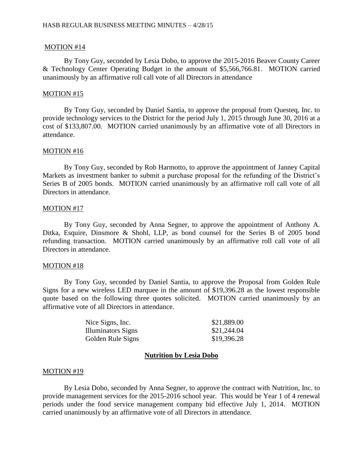### MOTION #14

By Tony Guy, seconded by Lesia Dobo, to approve the 2015-2016 Beaver County Career & Technology Center Operating Budget in the amount of \$5,566,766.81. MOTION carried unanimously by an affirmative roll call vote of all Directors in attendance

#### MOTION #15

By Tony Guy, seconded by Daniel Santia, to approve the proposal from Questeq, Inc. to provide technology services to the District for the period July 1, 2015 through June 30, 2016 at a cost of \$133,807.00. MOTION carried unanimously by an affirmative vote of all Directors in attendance.

#### MOTION #16

By Tony Guy, seconded by Rob Harmotto, to approve the appointment of Janney Capital Markets as investment banker to submit a purchase proposal for the refunding of the District's Series B of 2005 bonds. MOTION carried unanimously by an affirmative roll call vote of all Directors in attendance.

#### MOTION #17

By Tony Guy, seconded by Anna Segner, to approve the appointment of Anthony A. Ditka, Esquire, Dinsmore & Shohl, LLP, as bond counsel for the Series B of 2005 bond refunding transaction. MOTION carried unanimously by an affirmative roll call vote of all Directors in attendance.

#### MOTION #18

By Tony Guy, seconded by Daniel Santia, to approve the Proposal from Golden Rule Signs for a new wireless LED marquee in the amount of \$19,396.28 as the lowest responsible quote based on the following three quotes solicited. MOTION carried unanimously by an affirmative vote of all Directors in attendance.

| Nice Signs, Inc.   | \$21,889.00 |
|--------------------|-------------|
| Illuminators Signs | \$21,244.04 |
| Golden Rule Signs  | \$19,396.28 |

### **Nutrition by Lesia Dobo**

#### MOTION #19

By Lesia Dobo, seconded by Anna Segner, to approve the contract with Nutrition, Inc. to provide management services for the 2015-2016 school year. This would be Year 1 of 4 renewal periods under the food service management company bid effective July 1, 2014. MOTION carried unanimously by an affirmative vote of all Directors in attendance.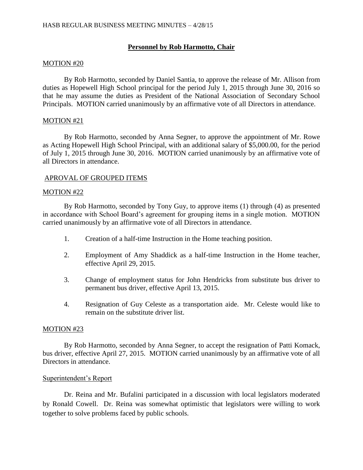# **Personnel by Rob Harmotto, Chair**

### MOTION #20

By Rob Harmotto, seconded by Daniel Santia, to approve the release of Mr. Allison from duties as Hopewell High School principal for the period July 1, 2015 through June 30, 2016 so that he may assume the duties as President of the National Association of Secondary School Principals. MOTION carried unanimously by an affirmative vote of all Directors in attendance.

### MOTION #21

By Rob Harmotto, seconded by Anna Segner, to approve the appointment of Mr. Rowe as Acting Hopewell High School Principal, with an additional salary of \$5,000.00, for the period of July 1, 2015 through June 30, 2016. MOTION carried unanimously by an affirmative vote of all Directors in attendance.

### APROVAL OF GROUPED ITEMS

### MOTION #22

By Rob Harmotto, seconded by Tony Guy, to approve items (1) through (4) as presented in accordance with School Board's agreement for grouping items in a single motion. MOTION carried unanimously by an affirmative vote of all Directors in attendance.

- 1. Creation of a half-time Instruction in the Home teaching position.
- 2. Employment of Amy Shaddick as a half-time Instruction in the Home teacher, effective April 29, 2015.
- 3. Change of employment status for John Hendricks from substitute bus driver to permanent bus driver, effective April 13, 2015.
- 4. Resignation of Guy Celeste as a transportation aide. Mr. Celeste would like to remain on the substitute driver list.

### MOTION #23

By Rob Harmotto, seconded by Anna Segner, to accept the resignation of Patti Komack, bus driver, effective April 27, 2015. MOTION carried unanimously by an affirmative vote of all Directors in attendance.

# Superintendent's Report

Dr. Reina and Mr. Bufalini participated in a discussion with local legislators moderated by Ronald Cowell. Dr. Reina was somewhat optimistic that legislators were willing to work together to solve problems faced by public schools.